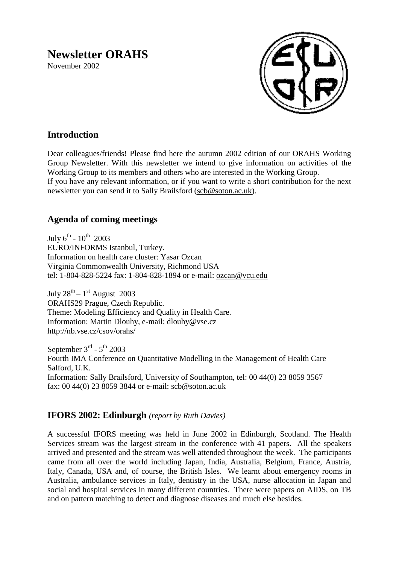# **Newsletter ORAHS**

November 2002



# **Introduction**

Dear colleagues/friends! Please find here the autumn 2002 edition of our ORAHS Working Group Newsletter. With this newsletter we intend to give information on activities of the Working Group to its members and others who are interested in the Working Group. If you have any relevant information, or if you want to write a short contribution for the next newsletter you can send it to Sally Brailsford [\(scb@soton.ac.uk\)](mailto:scb@soton.ac.uk).

## **Agenda of coming meetings**

July  $6^{\text{th}}$  -  $10^{\text{th}}$  2003 EURO/INFORMS Istanbul, Turkey. Information on health care cluster: Yasar Ozcan Virginia Commonwealth University, Richmond USA tel: 1-804-828-5224 fax: 1-804-828-1894 or e-mail: [ozcan@vcu.edu](mailto:ozcan@vcu.edu)

July  $28^{\text{th}} - 1^{\text{st}}$  August 2003 ORAHS29 Prague, Czech Republic. Theme: Modeling Efficiency and Quality in Health Care. Information: Martin Dlouhy, e-mail: dlouhy@vse.cz http://nb.vse.cz/csov/orahs/

September  $3^{\text{rd}}$  -  $5^{\text{th}}$  2003 Fourth IMA Conference on Quantitative Modelling in the Management of Health Care Salford, U.K. Information: Sally Brailsford, University of Southampton, tel: 00 44(0) 23 8059 3567 fax: 00 44(0) 23 8059 3844 or e-mail: [scb@soton.ac.uk](mailto:scb@soton.ac.uk)

## **IFORS 2002: Edinburgh** *(report by Ruth Davies)*

A successful IFORS meeting was held in June 2002 in Edinburgh, Scotland. The Health Services stream was the largest stream in the conference with 41 papers. All the speakers arrived and presented and the stream was well attended throughout the week. The participants came from all over the world including Japan, India, Australia, Belgium, France, Austria, Italy, Canada, USA and, of course, the British Isles. We learnt about emergency rooms in Australia, ambulance services in Italy, dentistry in the USA, nurse allocation in Japan and social and hospital services in many different countries. There were papers on AIDS, on TB and on pattern matching to detect and diagnose diseases and much else besides.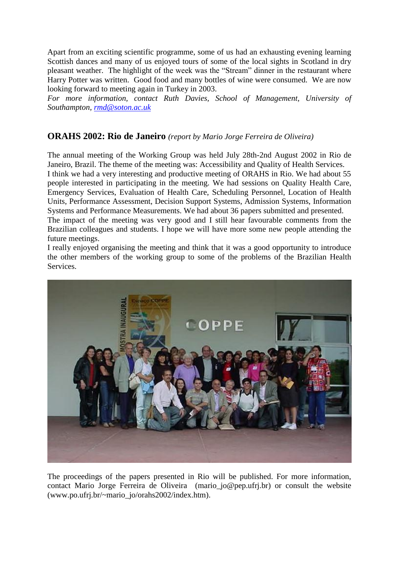Apart from an exciting scientific programme, some of us had an exhausting evening learning Scottish dances and many of us enjoyed tours of some of the local sights in Scotland in dry pleasant weather. The highlight of the week was the "Stream" dinner in the restaurant where Harry Potter was written. Good food and many bottles of wine were consumed. We are now looking forward to meeting again in Turkey in 2003.

*For more information, contact Ruth Davies, School of Management, University of Southampton, [rmd@soton.ac.uk](mailto:rmd@soton.ac.uk)*

#### **ORAHS 2002: Rio de Janeiro** *(report by Mario Jorge Ferreira de Oliveira)*

The annual meeting of the Working Group was held July 28th-2nd August 2002 in Rio de Janeiro, Brazil. The theme of the meeting was: Accessibility and Quality of Health Services. I think we had a very interesting and productive meeting of ORAHS in Rio. We had about 55 people interested in participating in the meeting. We had sessions on Quality Health Care, Emergency Services, Evaluation of Health Care, Scheduling Personnel, Location of Health Units, Performance Assessment, Decision Support Systems, Admission Systems, Information Systems and Performance Measurements. We had about 36 papers submitted and presented.

The impact of the meeting was very good and I still hear favourable comments from the Brazilian colleagues and students. I hope we will have more some new people attending the future meetings.

I really enjoyed organising the meeting and think that it was a good opportunity to introduce the other members of the working group to some of the problems of the Brazilian Health Services.



The proceedings of the papers presented in Rio will be published. For more information, contact Mario Jorge Ferreira de Oliveira (mario\_jo@pep.ufrj.br) or consult the website (www.po.ufrj.br/~mario\_jo/orahs2002/index.htm).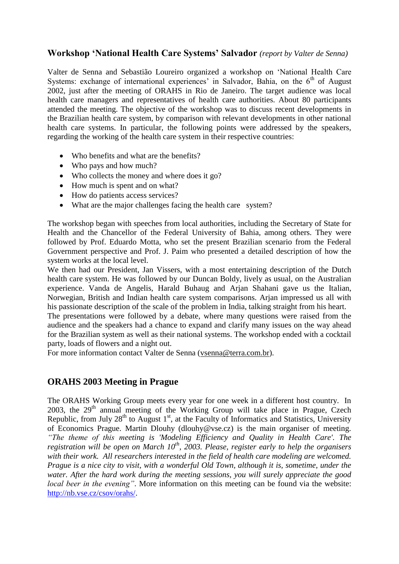#### **Workshop 'National Health Care Systems' Salvador** *(report by Valter de Senna)*

Valter de Senna and Sebastião Loureiro organized a workshop on "National Health Care Systems: exchange of international experiences' in Salvador, Bahia, on the  $6<sup>th</sup>$  of August 2002, just after the meeting of ORAHS in Rio de Janeiro. The target audience was local health care managers and representatives of health care authorities. About 80 participants attended the meeting. The objective of the workshop was to discuss recent developments in the Brazilian health care system, by comparison with relevant developments in other national health care systems. In particular, the following points were addressed by the speakers, regarding the working of the health care system in their respective countries:

- Who benefits and what are the benefits?
- Who pays and how much?
- Who collects the money and where does it go?
- How much is spent and on what?
- How do patients access services?
- What are the major challenges facing the health care system?

The workshop began with speeches from local authorities, including the Secretary of State for Health and the Chancellor of the Federal University of Bahia, among others. They were followed by Prof. Eduardo Motta, who set the present Brazilian scenario from the Federal Government perspective and Prof. J. Paim who presented a detailed description of how the system works at the local level.

We then had our President, Jan Vissers, with a most entertaining description of the Dutch health care system. He was followed by our Duncan Boldy, lively as usual, on the Australian experience. Vanda de Angelis, Harald Buhaug and Arjan Shahani gave us the Italian, Norwegian, British and Indian health care system comparisons. Arjan impressed us all with his passionate description of the scale of the problem in India, talking straight from his heart.

The presentations were followed by a debate, where many questions were raised from the audience and the speakers had a chance to expand and clarify many issues on the way ahead for the Brazilian system as well as their national systems. The workshop ended with a cocktail party, loads of flowers and a night out.

For more information contact Valter de Senna [\(vsenna@terra.com.br\)](mailto:vsenna@terra.com.br).

## **ORAHS 2003 Meeting in Prague**

The ORAHS Working Group meets every year for one week in a different host country. In 2003, the  $29<sup>th</sup>$  annual meeting of the Working Group will take place in Prague, Czech Republic, from July  $28<sup>th</sup>$  to August 1<sup>st</sup>, at the Faculty of Informatics and Statistics, University of Economics Prague. Martin Dlouhy (dlouhy@vse.cz) is the main organiser of meeting. *"The theme of this meeting is 'Modeling Efficiency and Quality in Health Care'. The registration will be open on March 10th, 2003. Please, register early to help the organisers with their work. All researchers interested in the field of health care modeling are welcomed. Prague is a nice city to visit, with a wonderful Old Town, although it is, sometime, under the water. After the hard work during the meeting sessions, you will surely appreciate the good local beer in the evening"*. More information on this meeting can be found via the website: [http://nb.vse.cz/csov/orahs/.](http://nb.vse.cz/csov/orahs/)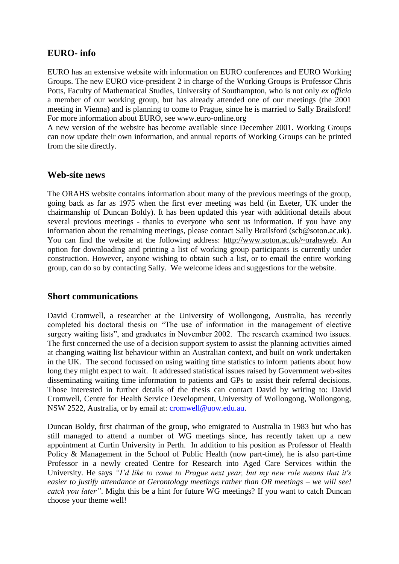#### **EURO- info**

EURO has an extensive website with information on EURO conferences and EURO Working Groups. The new EURO vice-president 2 in charge of the Working Groups is Professor Chris Potts, Faculty of Mathematical Studies, University of Southampton, who is not only *ex officio* a member of our working group, but has already attended one of our meetings (the 2001 meeting in Vienna) and is planning to come to Prague, since he is married to Sally Brailsford! For more information about EURO, see [www.euro-online.org](http://www.euro-online.org/)

A new version of the website has become available since December 2001. Working Groups can now update their own information, and annual reports of Working Groups can be printed from the site directly.

#### **Web-site news**

The ORAHS website contains information about many of the previous meetings of the group, going back as far as 1975 when the first ever meeting was held (in Exeter, UK under the chairmanship of Duncan Boldy). It has been updated this year with additional details about several previous meetings - thanks to everyone who sent us information. If you have any information about the remaining meetings, please contact Sally Brailsford (scb@soton.ac.uk). You can find the website at the following address: [http://www.soton.ac.uk/~orahsweb.](http://www.soton.ac.uk/~orahsweb) An option for downloading and printing a list of working group participants is currently under construction. However, anyone wishing to obtain such a list, or to email the entire working group, can do so by contacting Sally. We welcome ideas and suggestions for the website.

#### **Short communications**

David Cromwell, a researcher at the University of Wollongong, Australia, has recently completed his doctoral thesis on "The use of information in the management of elective surgery waiting lists", and graduates in November 2002. The research examined two issues. The first concerned the use of a decision support system to assist the planning activities aimed at changing waiting list behaviour within an Australian context, and built on work undertaken in the UK. The second focussed on using waiting time statistics to inform patients about how long they might expect to wait. It addressed statistical issues raised by Government web-sites disseminating waiting time information to patients and GPs to assist their referral decisions. Those interested in further details of the thesis can contact David by writing to: David Cromwell, Centre for Health Service Development, University of Wollongong, Wollongong, NSW 2522, Australia, or by email at: [cromwell@uow.edu.au.](mailto:cromwell@uow.edu.au)

Duncan Boldy, first chairman of the group, who emigrated to Australia in 1983 but who has still managed to attend a number of WG meetings since, has recently taken up a new appointment at Curtin University in Perth. In addition to his position as Professor of Health Policy & Management in the School of Public Health (now part-time), he is also part-time Professor in a newly created Centre for Research into Aged Care Services within the University. He says *"I"d like to come to Prague next year, but my new role means that it's easier to justify attendance at Gerontology meetings rather than OR meetings – we will see! catch you later"*. Might this be a hint for future WG meetings? If you want to catch Duncan choose your theme well!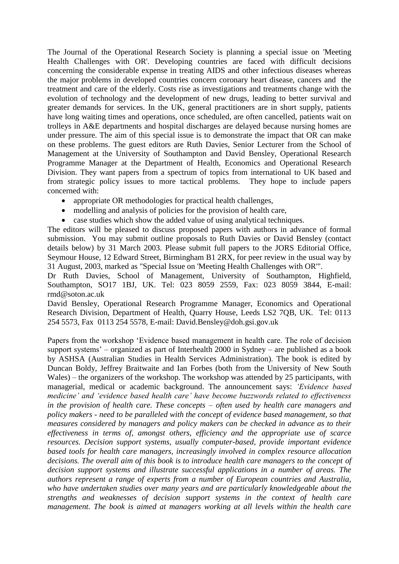The Journal of the Operational Research Society is planning a special issue on 'Meeting Health Challenges with OR'. Developing countries are faced with difficult decisions concerning the considerable expense in treating AIDS and other infectious diseases whereas the major problems in developed countries concern coronary heart disease, cancers and the treatment and care of the elderly. Costs rise as investigations and treatments change with the evolution of technology and the development of new drugs, leading to better survival and greater demands for services. In the UK, general practitioners are in short supply, patients have long waiting times and operations, once scheduled, are often cancelled, patients wait on trolleys in A&E departments and hospital discharges are delayed because nursing homes are under pressure. The aim of this special issue is to demonstrate the impact that OR can make on these problems. The guest editors are Ruth Davies, Senior Lecturer from the School of Management at the University of Southampton and David Bensley, Operational Research Programme Manager at the Department of Health, Economics and Operational Research Division. They want papers from a spectrum of topics from international to UK based and from strategic policy issues to more tactical problems. They hope to include papers concerned with:

- appropriate OR methodologies for practical health challenges,
- modelling and analysis of policies for the provision of health care,
- case studies which show the added value of using analytical techniques.

The editors will be pleased to discuss proposed papers with authors in advance of formal submission. You may submit outline proposals to Ruth Davies or David Bensley (contact details below) by 31 March 2003. Please submit full papers to the JORS Editorial Office, Seymour House, 12 Edward Street, Birmingham B1 2RX, for peer review in the usual way by 31 August, 2003, marked as "Special Issue on 'Meeting Health Challenges with OR'".

Dr Ruth Davies, School of Management, University of Southampton, Highfield, Southampton, SO17 1BJ, UK. Tel: 023 8059 2559, Fax: 023 8059 3844, E-mail: rmd@soton.ac.uk

David Bensley, Operational Research Programme Manager, Economics and Operational Research Division, Department of Health, Quarry House, Leeds LS2 7QB, UK. Tel: 0113 254 5573, Fax 0113 254 5578, E-mail: David.Bensley@doh.gsi.gov.uk

Papers from the workshop "Evidence based management in health care. The role of decision support systems" – organized as part of Interhealth 2000 in Sydney – are published as a book by ASHSA (Australian Studies in Health Services Administration). The book is edited by Duncan Boldy, Jeffrey Braitwaite and Ian Forbes (both from the University of New South Wales) – the organizers of the workshop. The workshop was attended by 25 participants, with managerial, medical or academic background. The announcement says: *"Evidence based medicine" and "evidence based health care" have become buzzwords related to effectiveness in the provision of health care. These concepts – often used by health care managers and policy makers - need to be paralleled with the concept of evidence based management, so that measures considered by managers and policy makers can be checked in advance as to their effectiveness in terms of, amongst others, efficiency and the appropriate use of scarce resources. Decision support systems, usually computer-based, provide important evidence based tools for health care managers, increasingly involved in complex resource allocation decisions. The overall aim of this book is to introduce health care managers to the concept of decision support systems and illustrate successful applications in a number of areas. The authors represent a range of experts from a number of European countries and Australia, who have undertaken studies over many years and are particularly knowledgeable about the strengths and weaknesses of decision support systems in the context of health care management. The book is aimed at managers working at all levels within the health care*